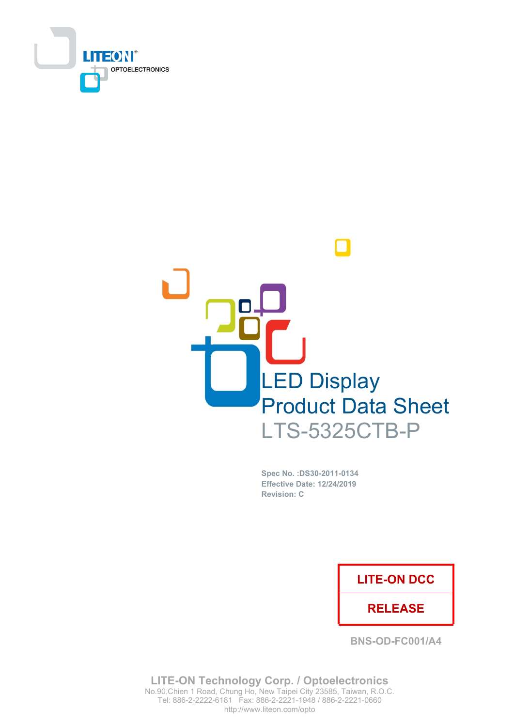



Spec No. : DS30-2011-0134 **Effective Date: 12/24/2019 Revision: C** 

### **LITE-ON DCC**

### **RELEASE**

**BNS-OD-FC001/A4** 

**LITE-ON Technology Corp. / Optoelectronics** No.90, Chien 1 Road, Chung Ho, New Taipei City 23585, Taiwan, R.O.C. Tel: 886-2-2222-6181 Fax: 886-2-2221-1948 / 886-2-2221-0660 http://www.liteon.com/opto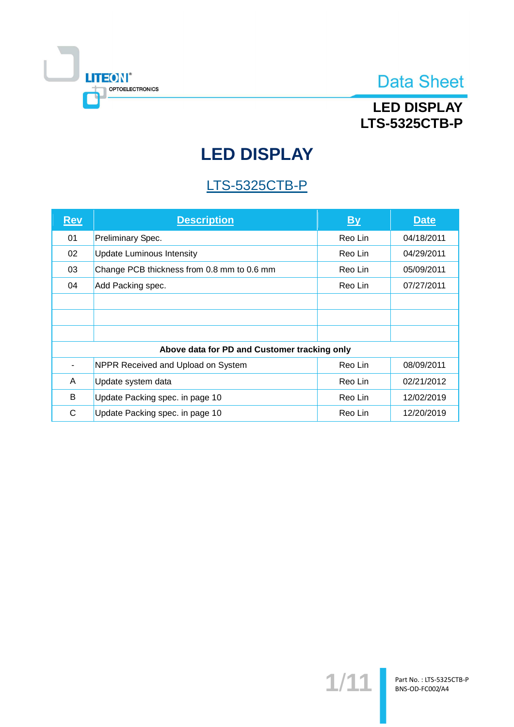

## **LED DISPLAY LTS-5325CTB-P**

# **LED DISPLAY**

## **LTS-5325CTB-P**

| <u>Rev</u>                                   | <b>Description</b>                         | <b>By</b> | <b>Date</b> |  |  |
|----------------------------------------------|--------------------------------------------|-----------|-------------|--|--|
| 01                                           | Preliminary Spec.                          | Reo Lin   | 04/18/2011  |  |  |
| 02                                           | <b>Update Luminous Intensity</b>           | Reo Lin   | 04/29/2011  |  |  |
| 03                                           | Change PCB thickness from 0.8 mm to 0.6 mm | Reo Lin   | 05/09/2011  |  |  |
| 04                                           | Add Packing spec.                          | Reo Lin   | 07/27/2011  |  |  |
|                                              |                                            |           |             |  |  |
|                                              |                                            |           |             |  |  |
|                                              |                                            |           |             |  |  |
| Above data for PD and Customer tracking only |                                            |           |             |  |  |
|                                              | NPPR Received and Upload on System         | Reo Lin   | 08/09/2011  |  |  |
| A                                            | Update system data                         | Reo Lin   | 02/21/2012  |  |  |
| B                                            | Update Packing spec. in page 10            | Reo Lin   | 12/02/2019  |  |  |
| C                                            | Update Packing spec. in page 10            | Reo Lin   | 12/20/2019  |  |  |

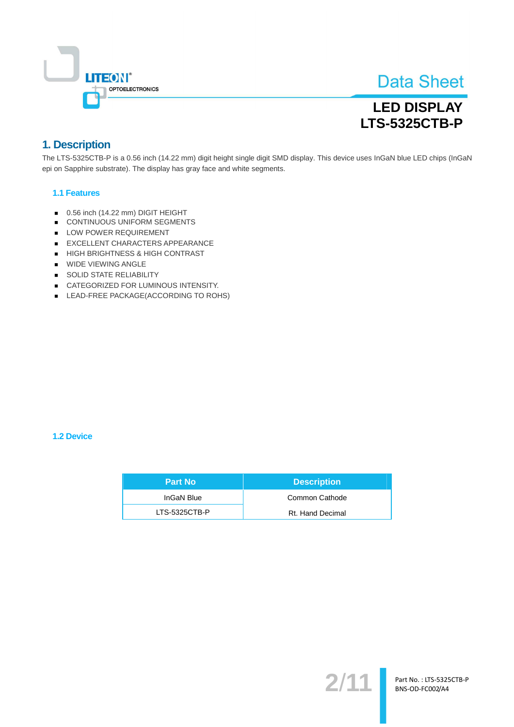

## **LED DISPLAY LTS-5325CTB-P**

### 1. Description

The LTS-5325CTB-P is a 0.56 inch (14.22 mm) digit height single digit SMD display. This device uses InGaN blue LED chips (InGaN epi on Sapphire substrate). The display has gray face and white segments.

#### **1.1 Features**

- 0.56 inch (14.22 mm) DIGIT HEIGHT
- CONTINUOUS UNIFORM SEGMENTS
- LOW POWER REQUIREMENT
- EXCELLENT CHARACTERS APPEARANCE
- HIGH BRIGHTNESS & HIGH CONTRAST
- **WIDE VIEWING ANGLE**
- SOLID STATE RELIABILITY
- CATEGORIZED FOR LUMINOUS INTENSITY.
- LEAD-FREE PACKAGE(ACCORDING TO ROHS)

#### 1.2 Device

| <b>Part No</b> | <b>Description</b> |
|----------------|--------------------|
| InGaN Blue     | Common Cathode     |
| LTS-5325CTB-P  | Rt. Hand Decimal   |

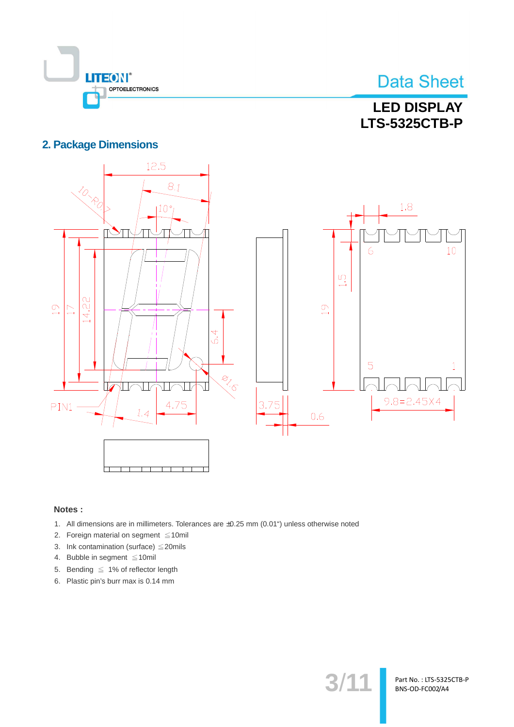

## **LED DISPLAY LTS-5325CTB-P**

### **2. Package Dimensions**



#### Notes:

- 1. All dimensions are in millimeters. Tolerances are ±0.25 mm (0.01") unless otherwise noted
- 2. Foreign material on segment  $\leq 10$ mil
- 3. Ink contamination (surface)  $\leq$  20mils
- 4. Bubble in segment ≤10mil
- 5. Bending  $\leq 1\%$  of reflector length
- 6. Plastic pin's burr max is 0.14 mm

 $3/1$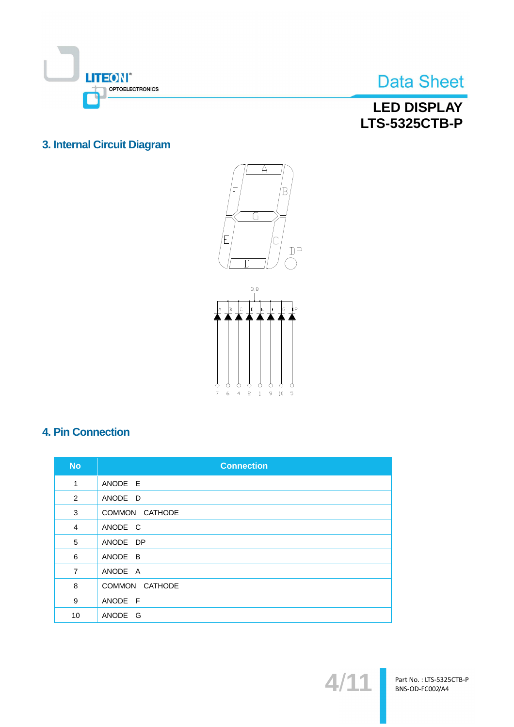

## **LED DISPLAY LTS-5325CTB-P**

### 3. Internal Circuit Diagram





### **4. Pin Connection**

| <b>No</b>      | <b>Connection</b> |
|----------------|-------------------|
| 1              | ANODE E           |
| 2              | ANODE D           |
| 3              | COMMON CATHODE    |
| $\overline{4}$ | ANODE C           |
| 5              | ANODE DP          |
| 6              | ANODE B           |
| $\overline{7}$ | ANODE A           |
| 8              | COMMON CATHODE    |
| 9              | ANODE F           |
| 10             | ANODE G           |

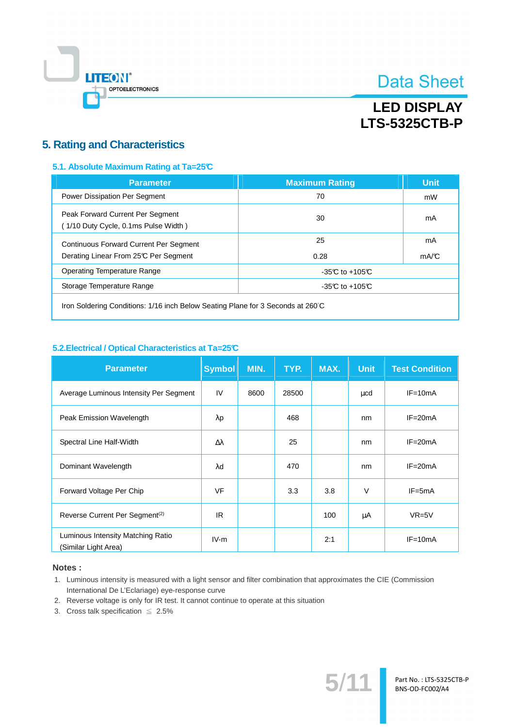

## **LED DISPLAY LTS-5325CTB-P**

### **5. Rating and Characteristics**

#### 5.1. Absolute Maximum Rating at Ta=25°C

| <b>Parameter</b>                                                                       | <b>Maximum Rating</b> | <b>Unit</b> |
|----------------------------------------------------------------------------------------|-----------------------|-------------|
| Power Dissipation Per Segment                                                          | 70                    | mW          |
| Peak Forward Current Per Segment<br>(1/10 Duty Cycle, 0.1ms Pulse Width)               | 30                    | mA          |
| <b>Continuous Forward Current Per Segment</b><br>Derating Linear From 25°C Per Segment | 25<br>0.28            | mA<br>mA/C  |
| Operating Temperature Range                                                            | $-35C$ to $+105C$     |             |
| Storage Temperature Range                                                              | $-35C$ to $+105C$     |             |
|                                                                                        |                       |             |

Iron Soldering Conditions: 1/16 inch Below Seating Plane for 3 Seconds at 260°C

#### 5.2. Electrical / Optical Characteristics at Ta=25°C

| <b>Parameter</b>                                          | <b>Symbol</b>    | MIN. | TYP.  | MAX. | <b>Unit</b> | <b>Test Condition</b> |
|-----------------------------------------------------------|------------------|------|-------|------|-------------|-----------------------|
| Average Luminous Intensity Per Segment                    | IV               | 8600 | 28500 |      | μcd         | $IF = 10mA$           |
| Peak Emission Wavelength                                  | $\lambda$ p      |      | 468   |      | nm          | $IF = 20mA$           |
| Spectral Line Half-Width                                  | $\Delta \lambda$ |      | 25    |      | nm          | $IF = 20mA$           |
| Dominant Wavelength                                       | λd               |      | 470   |      | nm          | $IF = 20mA$           |
| Forward Voltage Per Chip                                  | <b>VF</b>        |      | 3.3   | 3.8  | $\vee$      | $IF = 5mA$            |
| Reverse Current Per Segment <sup>(2)</sup>                | IR.              |      |       | 100  | μA          | $VR=5V$               |
| Luminous Intensity Matching Ratio<br>(Similar Light Area) | $IV-m$           |      |       | 2:1  |             | $IF=10mA$             |

#### Notes:

- 1. Luminous intensity is measured with a light sensor and filter combination that approximates the CIE (Commission International De L'Eclariage) eye-response curve
- 2. Reverse voltage is only for IR test. It cannot continue to operate at this situation
- 3. Cross talk specification  $\leq 2.5\%$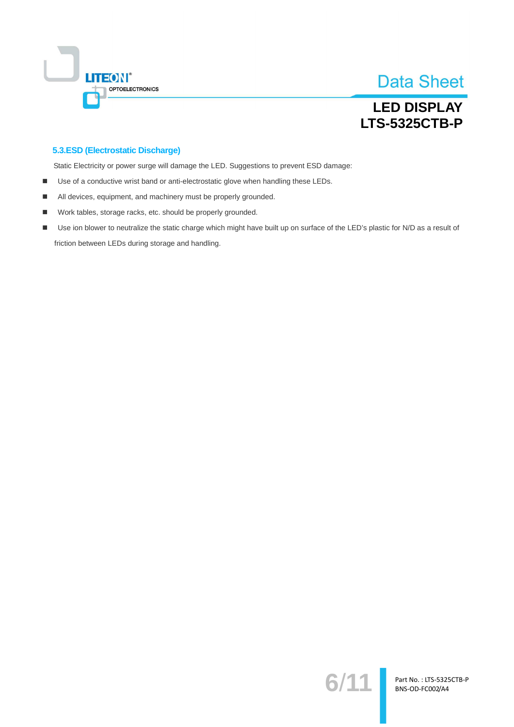

## **LED DISPLAY LTS-5325CTB-P**

#### 5.3.ESD (Electrostatic Discharge)

Static Electricity or power surge will damage the LED. Suggestions to prevent ESD damage:

- Use of a conductive wrist band or anti-electrostatic glove when handling these LEDs.  $\blacksquare$
- All devices, equipment, and machinery must be properly grounded. ٠
- Work tables, storage racks, etc. should be properly grounded.  $\blacksquare$
- Use ion blower to neutralize the static charge which might have built up on surface of the LED's plastic for N/D as a result of  $\blacksquare$ friction between LEDs during storage and handling.

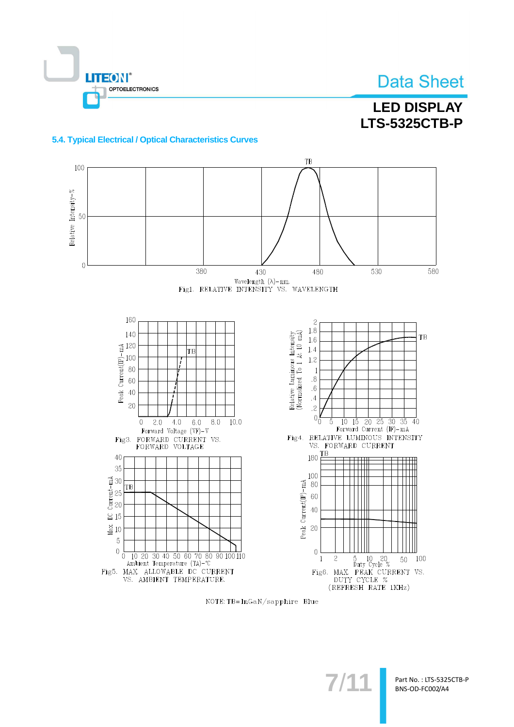

## **LED DISPLAY LTS-5325CTB-P**

#### 5.4. Typical Electrical / Optical Characteristics Curves



NOTE: TB=InGaN/sapphire Blue

 $7/1$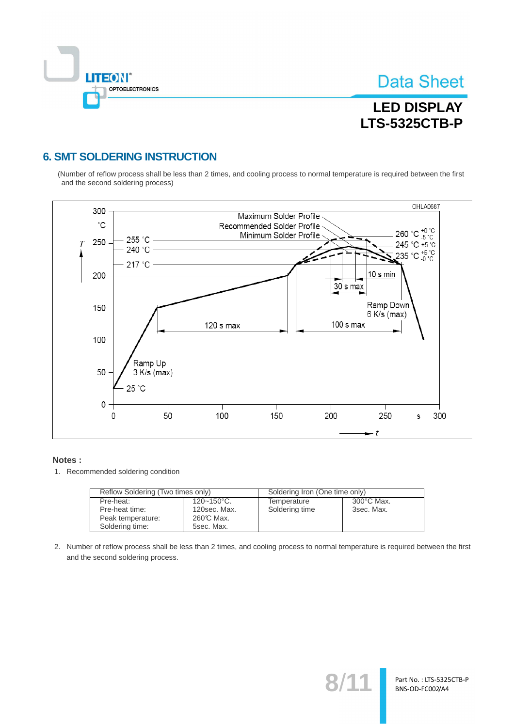

Part No.: LTS-5325CTB-P BNS-OD-FC002/A4

## **LED DISPLAY LTS-5325CTB-P**

### **6. SMT SOLDERING INSTRUCTION**

(Number of reflow process shall be less than 2 times, and cooling process to normal temperature is required between the first and the second soldering process)



#### Notes:

1. Recommended soldering condition

| Reflow Soldering (Two times only) |                 | Soldering Iron (One time only) |                      |  |
|-----------------------------------|-----------------|--------------------------------|----------------------|--|
| Pre-heat:                         | $120 - 150$ °C. | Temperature                    | $300^{\circ}$ C Max. |  |
| Pre-heat time:                    | 120sec. Max.    | Soldering time                 | 3sec. Max.           |  |
| Peak temperature:                 | 260℃ Max.       |                                |                      |  |
| Soldering time:                   | 5sec. Max.      |                                |                      |  |

2. Number of reflow process shall be less than 2 times, and cooling process to normal temperature is required between the first and the second soldering process.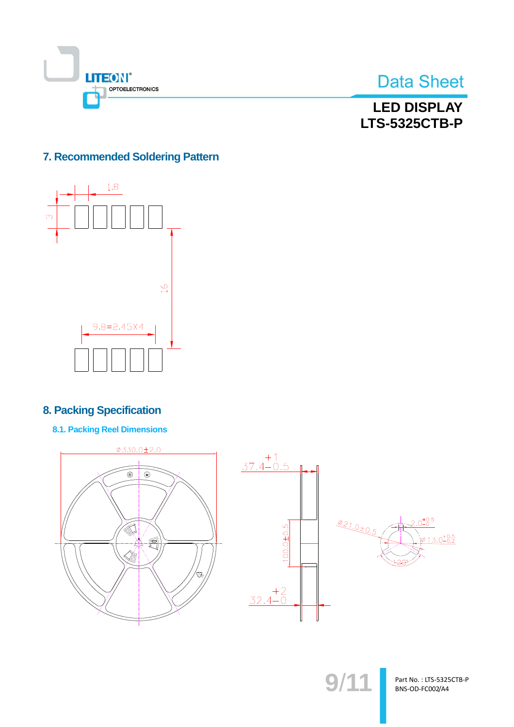



**LED DISPLAY LTS-5325CTB-P** 

### 7. Recommended Soldering Pattern



### **8. Packing Specification**

**8.1. Packing Reel Dimensions** 



Part No.: LTS-5325CTB-P BNS-OD-FC002/A4

 $9/11$ 

 $+0.5$ 

 $3.0^{+0.5}_{-0.2}$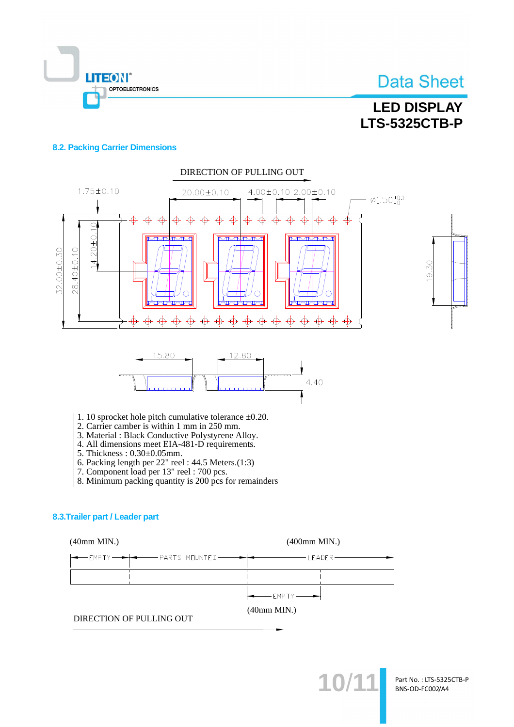

## **LED DISPLAY LTS-5325CTB-P**

#### **8.2. Packing Carrier Dimensions**



- 
- 4. All dimensions meet EIA-481-D requirements.
- 5. Thickness: 0.30±0.05mm.
- 6. Packing length per  $22$ " reel:  $44.5$  Meters. $(1:3)$
- 7. Component load per 13" reel : 700 pcs.
- 8. Minimum packing quantity is 200 pcs for remainders

#### 8.3. Trailer part / Leader part

 $(40mm MIN.)$ 

 $(400$ mm MIN.)

| ————————————————————                                    |
|---------------------------------------------------------|
|                                                         |
| $\left  \bullet \right $ EMPTY $\left  \bullet \right $ |

 $(40mm MIN.)$ 

DIRECTION OF PULLING OUT



Part No.: LTS-5325CTB-P BNS-OD-FC002/A4